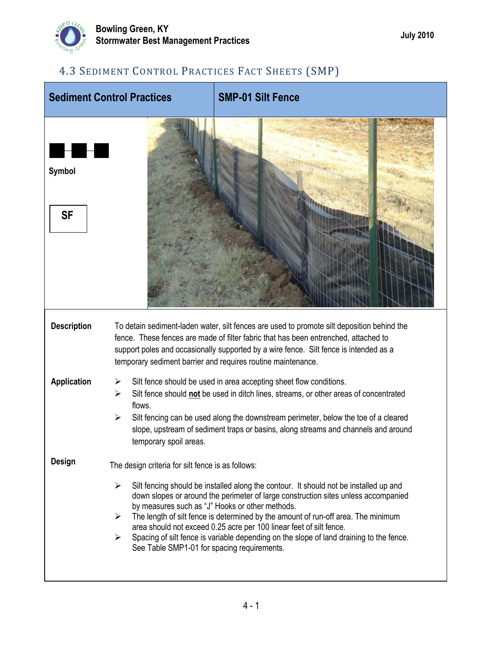

## 4.3 SEDIMENT CONTROL PRACTICES FACT SHEETS (SMP)

| <b>Sediment Control Practices</b> |                                                                                                                                     | <b>SMP-01 Silt Fence</b>                                                                                                                                                                                                                                                                                                                                                                                                                                                              |  |
|-----------------------------------|-------------------------------------------------------------------------------------------------------------------------------------|---------------------------------------------------------------------------------------------------------------------------------------------------------------------------------------------------------------------------------------------------------------------------------------------------------------------------------------------------------------------------------------------------------------------------------------------------------------------------------------|--|
| a ka<br>Symbol<br><b>SF</b>       |                                                                                                                                     |                                                                                                                                                                                                                                                                                                                                                                                                                                                                                       |  |
| <b>Description</b>                |                                                                                                                                     | To detain sediment-laden water, silt fences are used to promote silt deposition behind the<br>fence. These fences are made of filter fabric that has been entrenched, attached to<br>support poles and occasionally supported by a wire fence. Silt fence is intended as a<br>temporary sediment barrier and requires routine maintenance.                                                                                                                                            |  |
| <b>Application</b>                | ⋗<br>⋗<br>flows.<br>➤<br>temporary spoil areas.                                                                                     | Silt fence should be used in area accepting sheet flow conditions.<br>Silt fence should not be used in ditch lines, streams, or other areas of concentrated<br>Silt fencing can be used along the downstream perimeter, below the toe of a cleared<br>slope, upstream of sediment traps or basins, along streams and channels and around                                                                                                                                              |  |
| Design                            | The design criteria for silt fence is as follows:<br>➤<br>$\blacktriangleright$<br>≻<br>See Table SMP1-01 for spacing requirements. | Silt fencing should be installed along the contour. It should not be installed up and<br>down slopes or around the perimeter of large construction sites unless accompanied<br>by measures such as "J" Hooks or other methods.<br>The length of silt fence is determined by the amount of run-off area. The minimum<br>area should not exceed 0.25 acre per 100 linear feet of silt fence.<br>Spacing of silt fence is variable depending on the slope of land draining to the fence. |  |
|                                   |                                                                                                                                     |                                                                                                                                                                                                                                                                                                                                                                                                                                                                                       |  |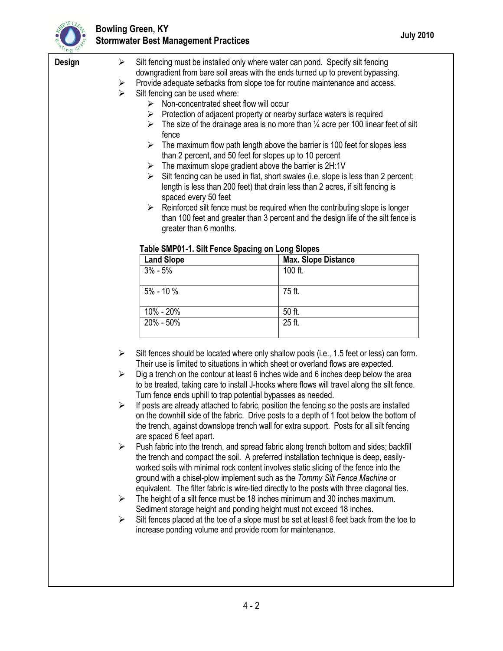

## **Bowling Green, KY Stormwater Best Management Practices July 2010**

| <b>Design</b> | ➤                                                |                                                                                 | Silt fencing must be installed only where water can pond. Specify silt fencing                |  |  |
|---------------|--------------------------------------------------|---------------------------------------------------------------------------------|-----------------------------------------------------------------------------------------------|--|--|
|               |                                                  | downgradient from bare soil areas with the ends turned up to prevent bypassing. |                                                                                               |  |  |
|               | ➤                                                | Provide adequate setbacks from slope toe for routine maintenance and access.    |                                                                                               |  |  |
|               | ≻                                                | Silt fencing can be used where:                                                 |                                                                                               |  |  |
|               |                                                  | $\triangleright$ Non-concentrated sheet flow will occur                         |                                                                                               |  |  |
|               |                                                  | ➤                                                                               | Protection of adjacent property or nearby surface waters is required                          |  |  |
|               |                                                  | ➤                                                                               | The size of the drainage area is no more than $\frac{1}{4}$ acre per 100 linear feet of silt  |  |  |
|               |                                                  | fence                                                                           |                                                                                               |  |  |
|               |                                                  | ➤                                                                               | The maximum flow path length above the barrier is 100 feet for slopes less                    |  |  |
|               |                                                  | than 2 percent, and 50 feet for slopes up to 10 percent                         |                                                                                               |  |  |
|               |                                                  | The maximum slope gradient above the barrier is 2H:1V<br>➤                      |                                                                                               |  |  |
|               |                                                  | ➤                                                                               | Silt fencing can be used in flat, short swales (i.e. slope is less than 2 percent;            |  |  |
|               |                                                  | length is less than 200 feet) that drain less than 2 acres, if silt fencing is  |                                                                                               |  |  |
|               |                                                  | spaced every 50 feet                                                            |                                                                                               |  |  |
|               |                                                  |                                                                                 | $\triangleright$ Reinforced silt fence must be required when the contributing slope is longer |  |  |
|               |                                                  |                                                                                 | than 100 feet and greater than 3 percent and the design life of the silt fence is             |  |  |
|               |                                                  | greater than 6 months.                                                          |                                                                                               |  |  |
|               |                                                  |                                                                                 |                                                                                               |  |  |
|               | Table SMP01-1. Silt Fence Spacing on Long Slopes |                                                                                 |                                                                                               |  |  |
|               |                                                  | <b>Land Slope</b>                                                               | <b>Max. Slope Distance</b>                                                                    |  |  |
|               |                                                  | $3% - 5%$                                                                       | 100 ft.                                                                                       |  |  |
|               |                                                  |                                                                                 |                                                                                               |  |  |
|               |                                                  | 5% - 10 %                                                                       | 75 ft.                                                                                        |  |  |
|               |                                                  |                                                                                 |                                                                                               |  |  |
|               |                                                  |                                                                                 |                                                                                               |  |  |
|               |                                                  |                                                                                 | 50 ft.                                                                                        |  |  |
|               |                                                  | 10% - 20%<br>20% - 50%                                                          |                                                                                               |  |  |
|               |                                                  |                                                                                 | 25 ft.                                                                                        |  |  |
|               |                                                  |                                                                                 |                                                                                               |  |  |
|               | ➤                                                |                                                                                 | Silt fences should be located where only shallow pools (i.e., 1.5 feet or less) can form.     |  |  |
|               |                                                  |                                                                                 | Their use is limited to situations in which sheet or overland flows are expected.             |  |  |
|               | ➤                                                |                                                                                 | Dig a trench on the contour at least 6 inches wide and 6 inches deep below the area           |  |  |
|               |                                                  |                                                                                 | to be treated, taking care to install J-hooks where flows will travel along the silt fence.   |  |  |
|               |                                                  | Turn fence ends uphill to trap potential bypasses as needed.                    |                                                                                               |  |  |
|               | ➤                                                |                                                                                 | If posts are already attached to fabric, position the fencing so the posts are installed      |  |  |
|               |                                                  |                                                                                 | on the downhill side of the fabric. Drive posts to a depth of 1 foot below the bottom of      |  |  |
|               |                                                  |                                                                                 | the trench, against downslope trench wall for extra support. Posts for all silt fencing       |  |  |
|               |                                                  | are spaced 6 feet apart.                                                        |                                                                                               |  |  |
|               | ➤                                                |                                                                                 | Push fabric into the trench, and spread fabric along trench bottom and sides; backfill        |  |  |
|               |                                                  |                                                                                 | the trench and compact the soil. A preferred installation technique is deep, easily-          |  |  |
|               |                                                  |                                                                                 | worked soils with minimal rock content involves static slicing of the fence into the          |  |  |
|               |                                                  |                                                                                 | ground with a chisel-plow implement such as the Tommy Silt Fence Machine or                   |  |  |
|               |                                                  |                                                                                 | equivalent. The filter fabric is wire-tied directly to the posts with three diagonal ties.    |  |  |
|               | ➤                                                |                                                                                 | The height of a silt fence must be 18 inches minimum and 30 inches maximum.                   |  |  |
|               |                                                  | Sediment storage height and ponding height must not exceed 18 inches.           |                                                                                               |  |  |
|               | ➤                                                |                                                                                 | Silt fences placed at the toe of a slope must be set at least 6 feet back from the toe to     |  |  |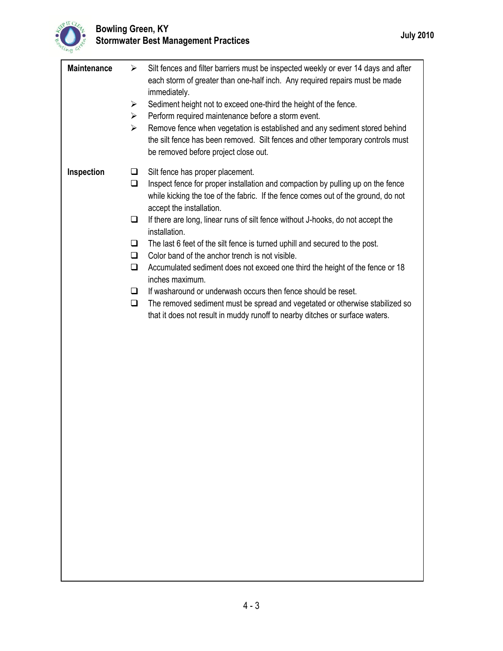

| <b>Maintenance</b> | Silt fences and filter barriers must be inspected weekly or ever 14 days and after<br>➤<br>each storm of greater than one-half inch. Any required repairs must be made<br>immediately.<br>Sediment height not to exceed one-third the height of the fence.<br>➤<br>Perform required maintenance before a storm event.<br>➤<br>Remove fence when vegetation is established and any sediment stored behind<br>$\blacktriangleright$<br>the silt fence has been removed. Silt fences and other temporary controls must<br>be removed before project close out. |  |
|--------------------|-------------------------------------------------------------------------------------------------------------------------------------------------------------------------------------------------------------------------------------------------------------------------------------------------------------------------------------------------------------------------------------------------------------------------------------------------------------------------------------------------------------------------------------------------------------|--|
| Inspection         | Silt fence has proper placement.<br>$\Box$                                                                                                                                                                                                                                                                                                                                                                                                                                                                                                                  |  |
|                    | Inspect fence for proper installation and compaction by pulling up on the fence<br>$\Box$                                                                                                                                                                                                                                                                                                                                                                                                                                                                   |  |
|                    | while kicking the toe of the fabric. If the fence comes out of the ground, do not<br>accept the installation.                                                                                                                                                                                                                                                                                                                                                                                                                                               |  |
|                    | If there are long, linear runs of silt fence without J-hooks, do not accept the<br>ப<br>installation.                                                                                                                                                                                                                                                                                                                                                                                                                                                       |  |
|                    | The last 6 feet of the silt fence is turned uphill and secured to the post.<br>❏                                                                                                                                                                                                                                                                                                                                                                                                                                                                            |  |
|                    | Color band of the anchor trench is not visible.<br>$\Box$                                                                                                                                                                                                                                                                                                                                                                                                                                                                                                   |  |
|                    | Accumulated sediment does not exceed one third the height of the fence or 18<br>❏<br>inches maximum.                                                                                                                                                                                                                                                                                                                                                                                                                                                        |  |
|                    | If washaround or underwash occurs then fence should be reset.<br>□                                                                                                                                                                                                                                                                                                                                                                                                                                                                                          |  |
|                    | The removed sediment must be spread and vegetated or otherwise stabilized so<br>$\Box$                                                                                                                                                                                                                                                                                                                                                                                                                                                                      |  |
|                    | that it does not result in muddy runoff to nearby ditches or surface waters.                                                                                                                                                                                                                                                                                                                                                                                                                                                                                |  |
|                    |                                                                                                                                                                                                                                                                                                                                                                                                                                                                                                                                                             |  |
|                    |                                                                                                                                                                                                                                                                                                                                                                                                                                                                                                                                                             |  |
|                    |                                                                                                                                                                                                                                                                                                                                                                                                                                                                                                                                                             |  |
|                    |                                                                                                                                                                                                                                                                                                                                                                                                                                                                                                                                                             |  |
|                    |                                                                                                                                                                                                                                                                                                                                                                                                                                                                                                                                                             |  |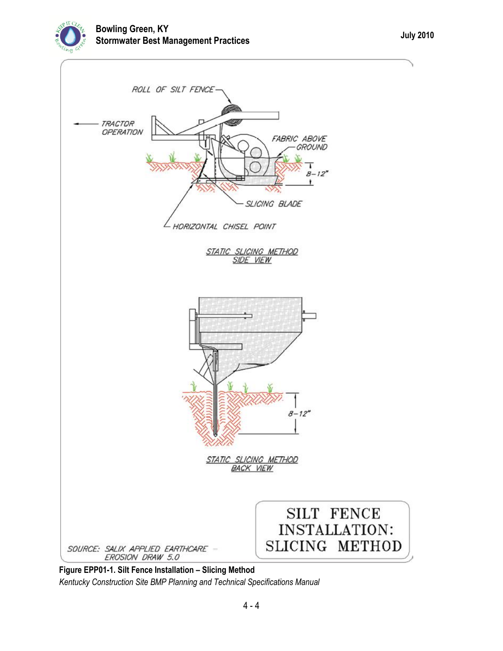

**Figure EPP01-1. Silt Fence Installation – Slicing Method** *Kentucky Construction Site BMP Planning and Technical Specifications Manual*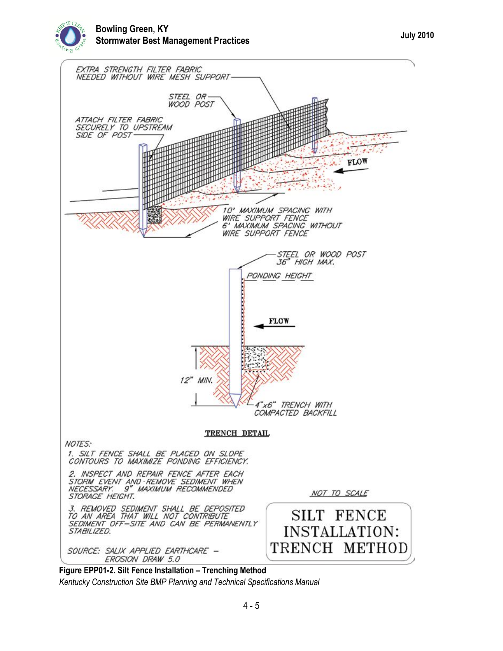



*Kentucky Construction Site BMP Planning and Technical Specifications Manual*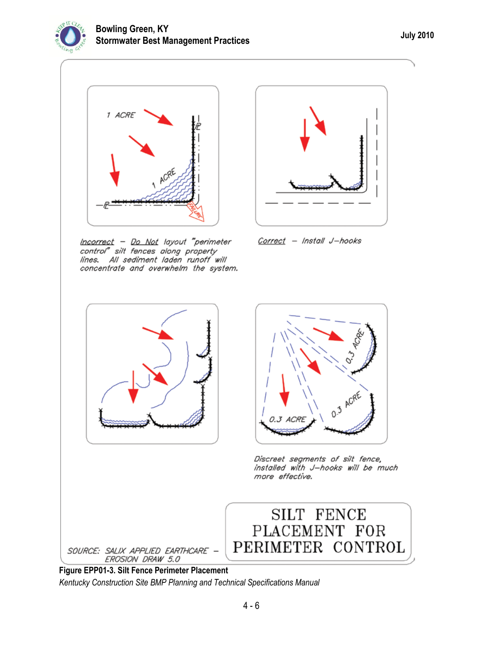



Incorrect - Do Not layout "perimeter control" silt fences along property<br>lines. All sediment laden runoff will concentrate and overwhelm the system.



Correct - Install J-hooks





Discreet segments of silt fence, installed with J-hooks will be much more effective.



**Figure EPP01-3. Silt Fence Perimeter Placement** *Kentucky Construction Site BMP Planning and Technical Specifications Manual*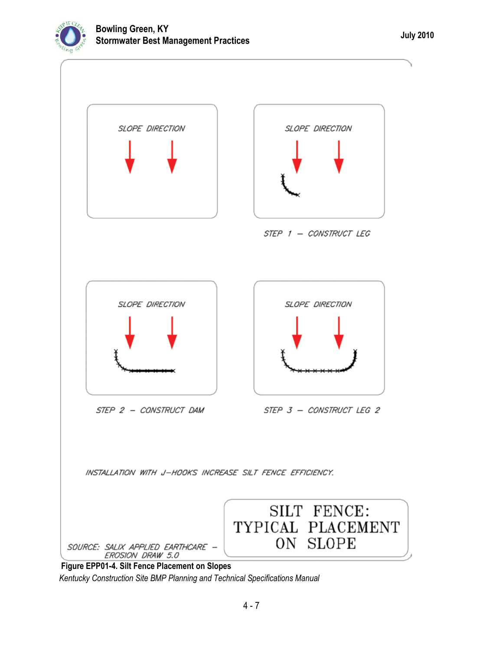



**Figure EPP01-4. Silt Fence Placement on Slopes** *Kentucky Construction Site BMP Planning and Technical Specifications Manual*